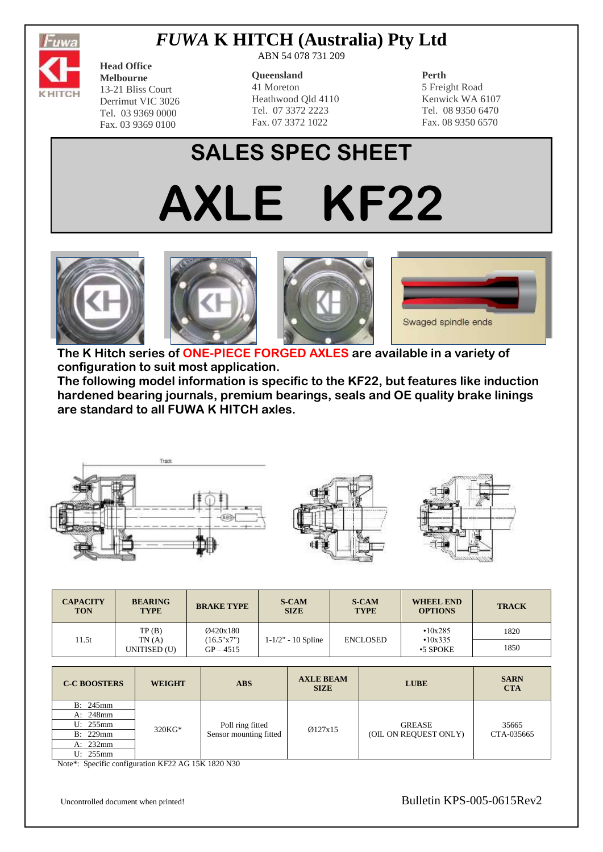

## *FUWA* **K HITCH (Australia) Pty Ltd**

**Head Office Melbourne** 13-21 Bliss Court Derrimut VIC 3026 Tel. 03 9369 0000

Fax. 03 9369 0100

ABN 54 078 731 209

#### **Queensland**

41 Moreton Heathwood Qld 4110 Tel. 07 3372 2223 Fax. 07 3372 1022

### **Perth**

5 Freight Road Kenwick WA 6107 Tel. 08 9350 6470 Fax. 08 9350 6570

# **SALES SPEC SHEET AXLE KF22**









**The K Hitch series of ONE-PIECE FORGED AXLES are available in a variety of configuration to suit most application.**

**The following model information is specific to the KF22, but features like induction hardened bearing journals, premium bearings, seals and OE quality brake linings are standard to all FUWA K HITCH axles.**



| <b>CAPACITY</b><br><b>TON</b> | <b>BEARING</b><br><b>TYPE</b>  | <b>BRAKE TYPE</b>                     | <b>S-CAM</b><br><b>SIZE</b> | <b>S-CAM</b><br><b>TYPE</b> | <b>WHEEL END</b><br><b>OPTIONS</b>    | <b>TRACK</b> |
|-------------------------------|--------------------------------|---------------------------------------|-----------------------------|-----------------------------|---------------------------------------|--------------|
| 11.5t                         | TP(B)<br>TN(A)<br>UNITISED (U) | Ø420x180<br>(16.5"x7")<br>$GP - 4515$ | $1 - 1/2" - 10$ Spline      | <b>ENCLOSED</b>             | •10x285<br>•10x335<br>$\cdot$ 5 SPOKE | 1820         |
|                               |                                |                                       |                             |                             |                                       | 1850         |

| <b>C-C BOOSTERS</b> | <b>WEIGHT</b> | <b>ABS</b>                                 | <b>AXLE BEAM</b><br><b>SIZE</b> | <b>LUBE</b>                            | <b>SARN</b><br><b>CTA</b> |
|---------------------|---------------|--------------------------------------------|---------------------------------|----------------------------------------|---------------------------|
| B: 245mm            |               |                                            |                                 |                                        |                           |
| A: 248mm            |               |                                            |                                 |                                        |                           |
| U: 255mm            | 320KG*        | Poll ring fitted<br>Sensor mounting fitted | Ø127x15                         | <b>GREASE</b><br>(OIL ON REQUEST ONLY) | 35665<br>CTA-035665       |
| <b>B</b> : 229mm    |               |                                            |                                 |                                        |                           |
| A: 232mm            |               |                                            |                                 |                                        |                           |
| U: 255mm            |               |                                            |                                 |                                        |                           |

Note\*: Specific configuration KF22 AG 15K 1820 N30

Uncontrolled document when printed! Bulletin KPS-005-0615Rev2